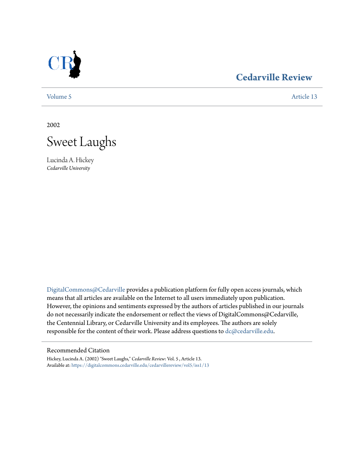

# **[Cedarville Review](https://digitalcommons.cedarville.edu/cedarvillereview?utm_source=digitalcommons.cedarville.edu%2Fcedarvillereview%2Fvol5%2Fiss1%2F13&utm_medium=PDF&utm_campaign=PDFCoverPages)**

[Volume 5](https://digitalcommons.cedarville.edu/cedarvillereview/vol5?utm_source=digitalcommons.cedarville.edu%2Fcedarvillereview%2Fvol5%2Fiss1%2F13&utm_medium=PDF&utm_campaign=PDFCoverPages) [Article 13](https://digitalcommons.cedarville.edu/cedarvillereview/vol5/iss1/13?utm_source=digitalcommons.cedarville.edu%2Fcedarvillereview%2Fvol5%2Fiss1%2F13&utm_medium=PDF&utm_campaign=PDFCoverPages)

2002



Lucinda A. Hickey *Cedarville University*

[DigitalCommons@Cedarville](http://digitalcommons.cedarville.edu) provides a publication platform for fully open access journals, which means that all articles are available on the Internet to all users immediately upon publication. However, the opinions and sentiments expressed by the authors of articles published in our journals do not necessarily indicate the endorsement or reflect the views of DigitalCommons@Cedarville, the Centennial Library, or Cedarville University and its employees. The authors are solely responsible for the content of their work. Please address questions to [dc@cedarville.edu](mailto:dc@cedarville.edu).

#### Recommended Citation

Hickey, Lucinda A. (2002) "Sweet Laughs," *Cedarville Review*: Vol. 5 , Article 13. Available at: [https://digitalcommons.cedarville.edu/cedarvillereview/vol5/iss1/13](https://digitalcommons.cedarville.edu/cedarvillereview/vol5/iss1/13?utm_source=digitalcommons.cedarville.edu%2Fcedarvillereview%2Fvol5%2Fiss1%2F13&utm_medium=PDF&utm_campaign=PDFCoverPages)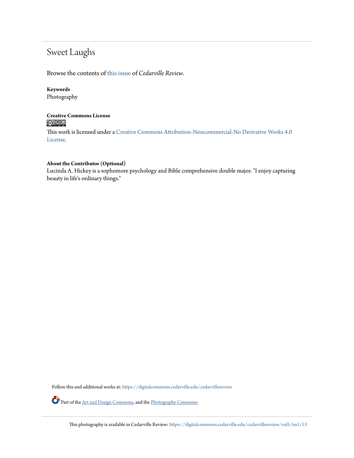# Sweet Laughs

Browse the contents of [this issue](https://digitalcommons.cedarville.edu/cedarvillereview/vol5/iss1) of *Cedarville Review*.

## **Keywords**

Photography

## **Creative Commons License**  $\bigcirc$   $\circ$

This work is licensed under a [Creative Commons Attribution-Noncommercial-No Derivative Works 4.0](http://creativecommons.org/licenses/by-nc-nd/4.0/) [License.](http://creativecommons.org/licenses/by-nc-nd/4.0/)

#### **About the Contributor (Optional)**

Lucinda A. Hickey is a sophomore psychology and Bible comprehensive double major. "I enjoy capturing beauty in life's ordinary things."

Follow this and additional works at: [https://digitalcommons.cedarville.edu/cedarvillereview](https://digitalcommons.cedarville.edu/cedarvillereview?utm_source=digitalcommons.cedarville.edu%2Fcedarvillereview%2Fvol5%2Fiss1%2F13&utm_medium=PDF&utm_campaign=PDFCoverPages)

Part of the [Art and Design Commons,](http://network.bepress.com/hgg/discipline/1049?utm_source=digitalcommons.cedarville.edu%2Fcedarvillereview%2Fvol5%2Fiss1%2F13&utm_medium=PDF&utm_campaign=PDFCoverPages) and the [Photography Commons](http://network.bepress.com/hgg/discipline/1142?utm_source=digitalcommons.cedarville.edu%2Fcedarvillereview%2Fvol5%2Fiss1%2F13&utm_medium=PDF&utm_campaign=PDFCoverPages)